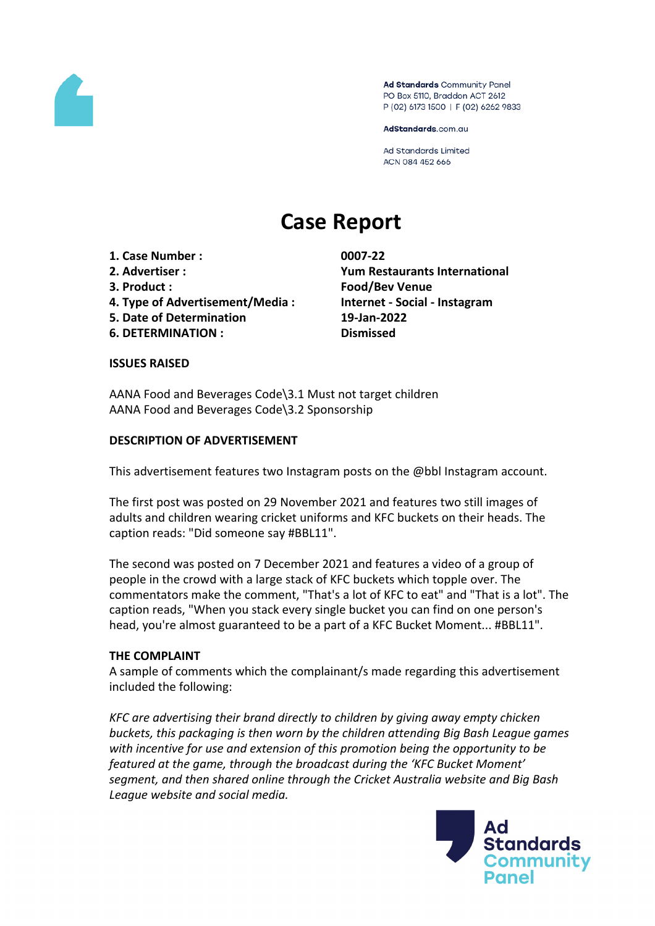

Ad Standards Community Panel PO Box 5110, Braddon ACT 2612 P (02) 6173 1500 | F (02) 6262 9833

AdStandards.com.au

Ad Standards Limited ACN 084 452 666

# **Case Report**

- **1. Case Number : 0007-22**
- 
- 
- **4. Type of Advertisement/Media : Internet - Social - Instagram**
- **5. Date of Determination 19-Jan-2022**
- **6. DETERMINATION : Dismissed**

**2. Advertiser : Yum Restaurants International 3. Product : Food/Bev Venue**

## **ISSUES RAISED**

AANA Food and Beverages Code\3.1 Must not target children AANA Food and Beverages Code\3.2 Sponsorship

## **DESCRIPTION OF ADVERTISEMENT**

This advertisement features two Instagram posts on the @bbl Instagram account.

The first post was posted on 29 November 2021 and features two still images of adults and children wearing cricket uniforms and KFC buckets on their heads. The caption reads: "Did someone say #BBL11".

The second was posted on 7 December 2021 and features a video of a group of people in the crowd with a large stack of KFC buckets which topple over. The commentators make the comment, "That's a lot of KFC to eat" and "That is a lot". The caption reads, "When you stack every single bucket you can find on one person's head, you're almost guaranteed to be a part of a KFC Bucket Moment... #BBL11".

## **THE COMPLAINT**

A sample of comments which the complainant/s made regarding this advertisement included the following:

*KFC are advertising their brand directly to children by giving away empty chicken buckets, this packaging is then worn by the children attending Big Bash League games with incentive for use and extension of this promotion being the opportunity to be featured at the game, through the broadcast during the 'KFC Bucket Moment' segment, and then shared online through the Cricket Australia website and Big Bash League website and social media.*

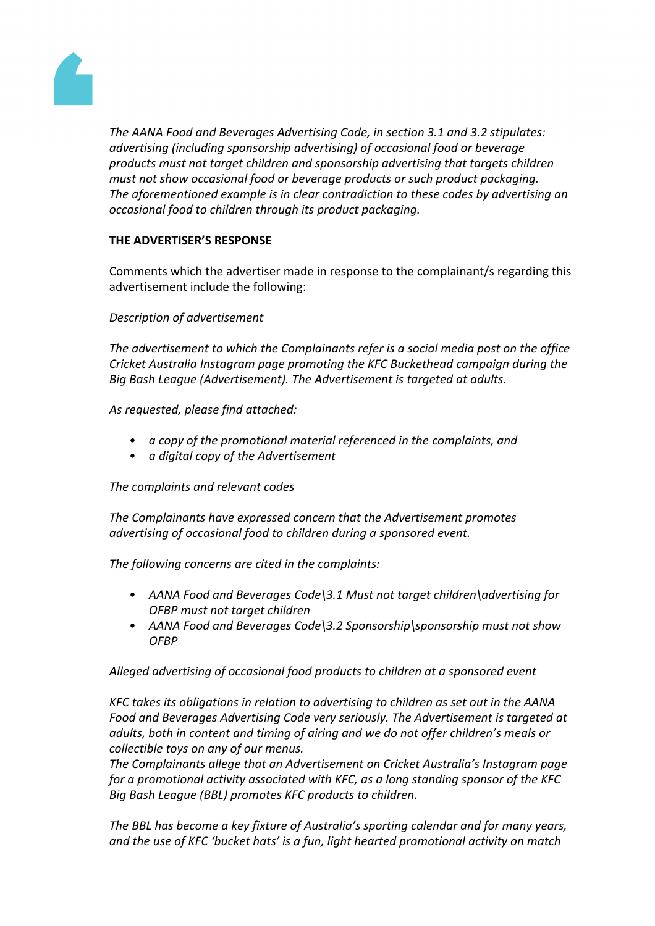

*The AANA Food and Beverages Advertising Code, in section 3.1 and 3.2 stipulates: advertising (including sponsorship advertising) of occasional food or beverage products must not target children and sponsorship advertising that targets children must not show occasional food or beverage products or such product packaging. The aforementioned example is in clear contradiction to these codes by advertising an occasional food to children through its product packaging.*

## **THE ADVERTISER'S RESPONSE**

Comments which the advertiser made in response to the complainant/s regarding this advertisement include the following:

*Description of advertisement*

*The advertisement to which the Complainants refer is a social media post on the office Cricket Australia Instagram page promoting the KFC Buckethead campaign during the Big Bash League (Advertisement). The Advertisement is targeted at adults.*

*As requested, please find attached:*

- *• a copy of the promotional material referenced in the complaints, and*
- *• a digital copy of the Advertisement*

*The complaints and relevant codes*

*The Complainants have expressed concern that the Advertisement promotes advertising of occasional food to children during a sponsored event.* 

*The following concerns are cited in the complaints:*

- *• AANA Food and Beverages Code\3.1 Must not target children\advertising for OFBP must not target children*
- *• AANA Food and Beverages Code\3.2 Sponsorship\sponsorship must not show OFBP*

*Alleged advertising of occasional food products to children at a sponsored event*

*KFC takes its obligations in relation to advertising to children as set out in the AANA Food and Beverages Advertising Code very seriously. The Advertisement is targeted at adults, both in content and timing of airing and we do not offer children's meals or collectible toys on any of our menus.*

*The Complainants allege that an Advertisement on Cricket Australia's Instagram page for a promotional activity associated with KFC, as a long standing sponsor of the KFC Big Bash League (BBL) promotes KFC products to children.*

*The BBL has become a key fixture of Australia's sporting calendar and for many years, and the use of KFC 'bucket hats' is a fun, light hearted promotional activity on match*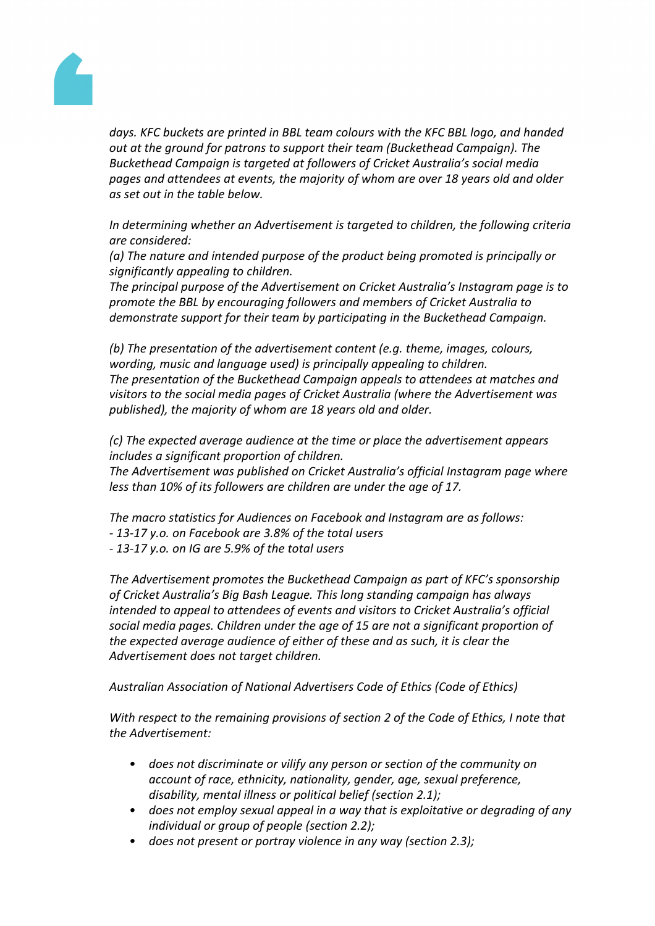

*days. KFC buckets are printed in BBL team colours with the KFC BBL logo, and handed out at the ground for patrons to support their team (Buckethead Campaign). The Buckethead Campaign is targeted at followers of Cricket Australia's social media pages and attendees at events, the majority of whom are over 18 years old and older as set out in the table below.* 

*In determining whether an Advertisement is targeted to children, the following criteria are considered:*

*(a) The nature and intended purpose of the product being promoted is principally or significantly appealing to children.*

*The principal purpose of the Advertisement on Cricket Australia's Instagram page is to promote the BBL by encouraging followers and members of Cricket Australia to demonstrate support for their team by participating in the Buckethead Campaign.* 

*(b) The presentation of the advertisement content (e.g. theme, images, colours, wording, music and language used) is principally appealing to children. The presentation of the Buckethead Campaign appeals to attendees at matches and visitors to the social media pages of Cricket Australia (where the Advertisement was published), the majority of whom are 18 years old and older.* 

*(c) The expected average audience at the time or place the advertisement appears includes a significant proportion of children. The Advertisement was published on Cricket Australia's official Instagram page where*

*less than 10% of its followers are children are under the age of 17.*

*The macro statistics for Audiences on Facebook and Instagram are as follows: - 13-17 y.o. on Facebook are 3.8% of the total users*

*- 13-17 y.o. on IG are 5.9% of the total users*

*The Advertisement promotes the Buckethead Campaign as part of KFC's sponsorship of Cricket Australia's Big Bash League. This long standing campaign has always intended to appeal to attendees of events and visitors to Cricket Australia's official social media pages. Children under the age of 15 are not a significant proportion of the expected average audience of either of these and as such, it is clear the Advertisement does not target children.* 

*Australian Association of National Advertisers Code of Ethics (Code of Ethics)*

*With respect to the remaining provisions of section 2 of the Code of Ethics, I note that the Advertisement:*

- *• does not discriminate or vilify any person or section of the community on account of race, ethnicity, nationality, gender, age, sexual preference, disability, mental illness or political belief (section 2.1);*
- *• does not employ sexual appeal in a way that is exploitative or degrading of any individual or group of people (section 2.2);*
- *• does not present or portray violence in any way (section 2.3);*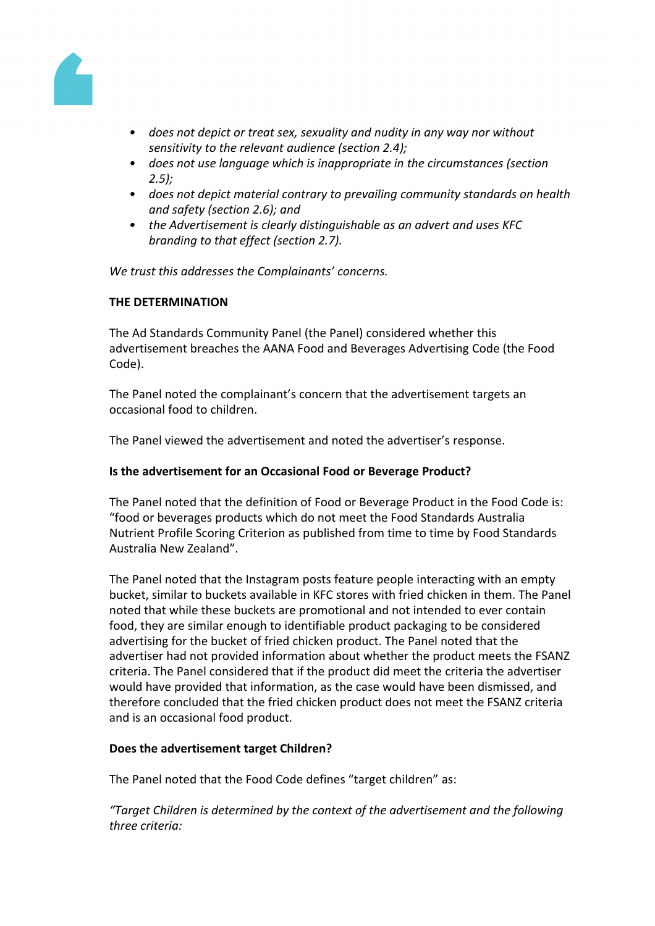

- *• does not depict or treat sex, sexuality and nudity in any way nor without sensitivity to the relevant audience (section 2.4);*
- *• does not use language which is inappropriate in the circumstances (section 2.5);*
- *• does not depict material contrary to prevailing community standards on health and safety (section 2.6); and*
- *• the Advertisement is clearly distinguishable as an advert and uses KFC branding to that effect (section 2.7).*

*We trust this addresses the Complainants' concerns.*

## **THE DETERMINATION**

The Ad Standards Community Panel (the Panel) considered whether this advertisement breaches the AANA Food and Beverages Advertising Code (the Food Code).

The Panel noted the complainant's concern that the advertisement targets an occasional food to children.

The Panel viewed the advertisement and noted the advertiser's response.

## **Is the advertisement for an Occasional Food or Beverage Product?**

The Panel noted that the definition of Food or Beverage Product in the Food Code is: "food or beverages products which do not meet the Food Standards Australia Nutrient Profile Scoring Criterion as published from time to time by Food Standards Australia New Zealand".

The Panel noted that the Instagram posts feature people interacting with an empty bucket, similar to buckets available in KFC stores with fried chicken in them. The Panel noted that while these buckets are promotional and not intended to ever contain food, they are similar enough to identifiable product packaging to be considered advertising for the bucket of fried chicken product. The Panel noted that the advertiser had not provided information about whether the product meets the FSANZ criteria. The Panel considered that if the product did meet the criteria the advertiser would have provided that information, as the case would have been dismissed, and therefore concluded that the fried chicken product does not meet the FSANZ criteria and is an occasional food product.

## **Does the advertisement target Children?**

The Panel noted that the Food Code defines "target children" as:

*"Target Children is determined by the context of the advertisement and the following three criteria:*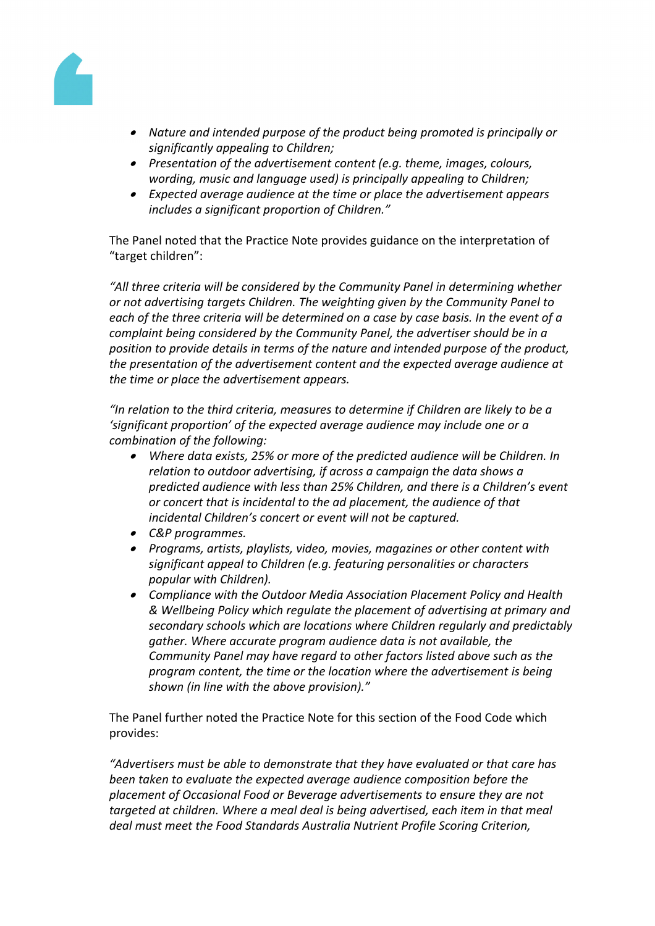

- *Nature and intended purpose of the product being promoted is principally or significantly appealing to Children;*
- *Presentation of the advertisement content (e.g. theme, images, colours, wording, music and language used) is principally appealing to Children;*
- *Expected average audience at the time or place the advertisement appears includes a significant proportion of Children."*

The Panel noted that the Practice Note provides guidance on the interpretation of "target children":

*"All three criteria will be considered by the Community Panel in determining whether or not advertising targets Children. The weighting given by the Community Panel to each of the three criteria will be determined on a case by case basis. In the event of a complaint being considered by the Community Panel, the advertiser should be in a position to provide details in terms of the nature and intended purpose of the product, the presentation of the advertisement content and the expected average audience at the time or place the advertisement appears.*

*"In relation to the third criteria, measures to determine if Children are likely to be a 'significant proportion' of the expected average audience may include one or a combination of the following:*

- *Where data exists, 25% or more of the predicted audience will be Children. In relation to outdoor advertising, if across a campaign the data shows a predicted audience with less than 25% Children, and there is a Children's event or concert that is incidental to the ad placement, the audience of that incidental Children's concert or event will not be captured.*
- *C&P programmes.*
- *Programs, artists, playlists, video, movies, magazines or other content with significant appeal to Children (e.g. featuring personalities or characters popular with Children).*
- *Compliance with the Outdoor Media Association Placement Policy and Health & Wellbeing Policy which regulate the placement of advertising at primary and secondary schools which are locations where Children regularly and predictably gather. Where accurate program audience data is not available, the Community Panel may have regard to other factors listed above such as the program content, the time or the location where the advertisement is being shown (in line with the above provision)."*

The Panel further noted the Practice Note for this section of the Food Code which provides:

*"Advertisers must be able to demonstrate that they have evaluated or that care has been taken to evaluate the expected average audience composition before the placement of Occasional Food or Beverage advertisements to ensure they are not targeted at children. Where a meal deal is being advertised, each item in that meal deal must meet the Food Standards Australia Nutrient Profile Scoring Criterion,*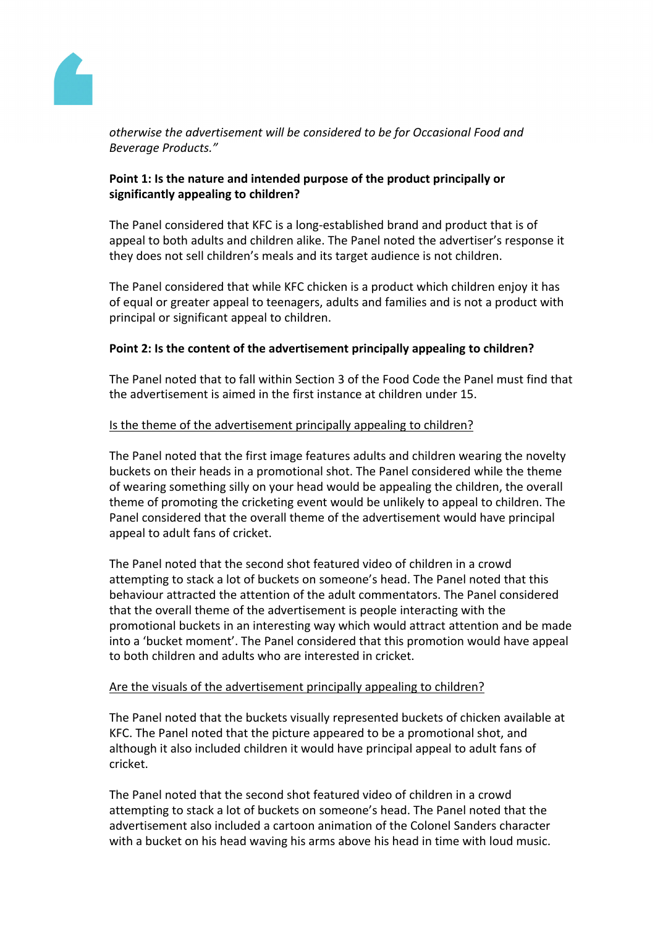

*otherwise the advertisement will be considered to be for Occasional Food and Beverage Products."*

## **Point 1: Is the nature and intended purpose of the product principally or significantly appealing to children?**

The Panel considered that KFC is a long-established brand and product that is of appeal to both adults and children alike. The Panel noted the advertiser's response it they does not sell children's meals and its target audience is not children.

The Panel considered that while KFC chicken is a product which children enjoy it has of equal or greater appeal to teenagers, adults and families and is not a product with principal or significant appeal to children.

## **Point 2: Is the content of the advertisement principally appealing to children?**

The Panel noted that to fall within Section 3 of the Food Code the Panel must find that the advertisement is aimed in the first instance at children under 15.

## Is the theme of the advertisement principally appealing to children?

The Panel noted that the first image features adults and children wearing the novelty buckets on their heads in a promotional shot. The Panel considered while the theme of wearing something silly on your head would be appealing the children, the overall theme of promoting the cricketing event would be unlikely to appeal to children. The Panel considered that the overall theme of the advertisement would have principal appeal to adult fans of cricket.

The Panel noted that the second shot featured video of children in a crowd attempting to stack a lot of buckets on someone's head. The Panel noted that this behaviour attracted the attention of the adult commentators. The Panel considered that the overall theme of the advertisement is people interacting with the promotional buckets in an interesting way which would attract attention and be made into a 'bucket moment'. The Panel considered that this promotion would have appeal to both children and adults who are interested in cricket.

## Are the visuals of the advertisement principally appealing to children?

The Panel noted that the buckets visually represented buckets of chicken available at KFC. The Panel noted that the picture appeared to be a promotional shot, and although it also included children it would have principal appeal to adult fans of cricket.

The Panel noted that the second shot featured video of children in a crowd attempting to stack a lot of buckets on someone's head. The Panel noted that the advertisement also included a cartoon animation of the Colonel Sanders character with a bucket on his head waving his arms above his head in time with loud music.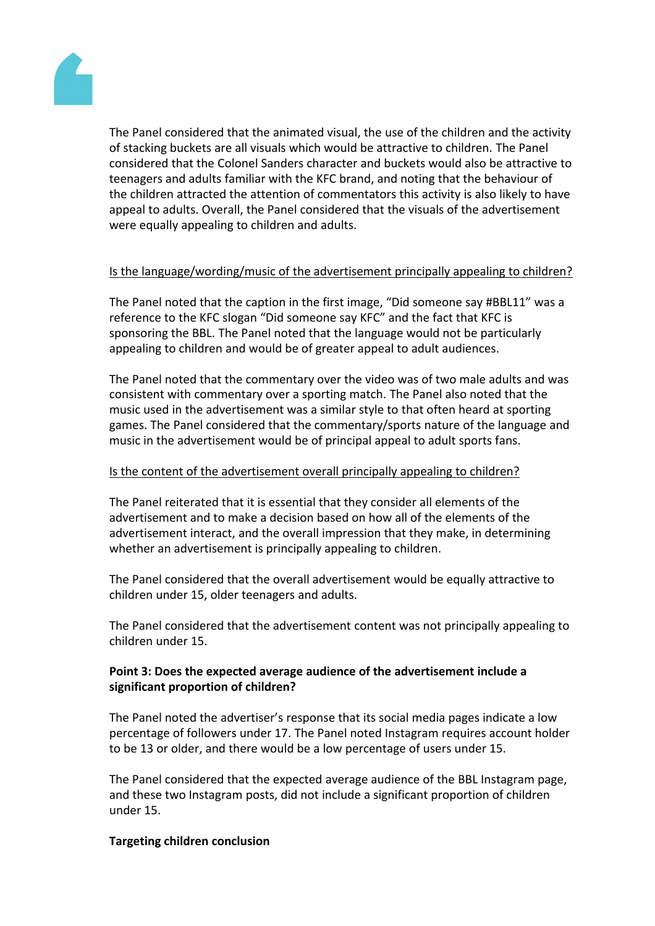

The Panel considered that the animated visual, the use of the children and the activity of stacking buckets are all visuals which would be attractive to children. The Panel considered that the Colonel Sanders character and buckets would also be attractive to teenagers and adults familiar with the KFC brand, and noting that the behaviour of the children attracted the attention of commentators this activity is also likely to have appeal to adults. Overall, the Panel considered that the visuals of the advertisement were equally appealing to children and adults.

## Is the language/wording/music of the advertisement principally appealing to children?

The Panel noted that the caption in the first image, "Did someone say #BBL11" was a reference to the KFC slogan "Did someone say KFC" and the fact that KFC is sponsoring the BBL. The Panel noted that the language would not be particularly appealing to children and would be of greater appeal to adult audiences.

The Panel noted that the commentary over the video was of two male adults and was consistent with commentary over a sporting match. The Panel also noted that the music used in the advertisement was a similar style to that often heard at sporting games. The Panel considered that the commentary/sports nature of the language and music in the advertisement would be of principal appeal to adult sports fans.

## Is the content of the advertisement overall principally appealing to children?

The Panel reiterated that it is essential that they consider all elements of the advertisement and to make a decision based on how all of the elements of the advertisement interact, and the overall impression that they make, in determining whether an advertisement is principally appealing to children.

The Panel considered that the overall advertisement would be equally attractive to children under 15, older teenagers and adults.

The Panel considered that the advertisement content was not principally appealing to children under 15.

## **Point 3: Does the expected average audience of the advertisement include a significant proportion of children?**

The Panel noted the advertiser's response that its social media pages indicate a low percentage of followers under 17. The Panel noted Instagram requires account holder to be 13 or older, and there would be a low percentage of users under 15.

The Panel considered that the expected average audience of the BBL Instagram page, and these two Instagram posts, did not include a significant proportion of children under 15.

## **Targeting children conclusion**